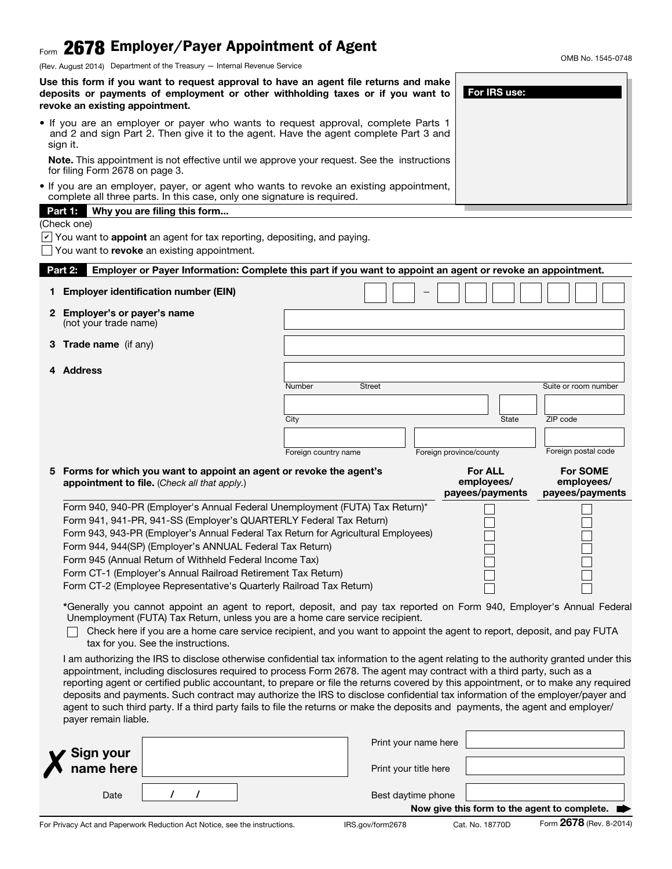# $_{\sf Form}$  2678 Employer/Payer Appointment of Agent

(Rev. August 2014) Department of the Treasury — Internal Revenue Service

Use this form if you want to request approval to have an agent file returns and make deposits or payments of employment or other withholding taxes or if you want to revoke an existing appointment.

• If you are an employer or payer who wants to request approval, complete Parts 1 and 2 and sign Part 2. Then give it to the agent. Have the agent complete Part 3 and sign it.

Note. This appointment is not effective until we approve your request. See the instructions for filing Form 2678 on page 3.

• If you are an employer, payer, or agent who wants to revoke an existing appointment, complete all three parts. In this case, only one signature is required.

#### Part 1: Why you are filing this form...

(Check one)

 $\vee$  You want to **appoint** an agent for tax reporting, depositing, and paying.

 $\Box$  You want to revoke an existing appointment.

| Employer or Payer Information: Complete this part if you want to appoint an agent or revoke an appointment.<br>Part 2:                                                                                  |                         |  |                         |              |                      |  |  |
|---------------------------------------------------------------------------------------------------------------------------------------------------------------------------------------------------------|-------------------------|--|-------------------------|--------------|----------------------|--|--|
| 1 Employer identification number (EIN)                                                                                                                                                                  |                         |  |                         |              |                      |  |  |
| 2 Employer's or payer's name<br>(not your trade name)                                                                                                                                                   |                         |  |                         |              |                      |  |  |
| 3 Trade name (if any)                                                                                                                                                                                   |                         |  |                         |              |                      |  |  |
| 4 Address                                                                                                                                                                                               |                         |  |                         |              |                      |  |  |
|                                                                                                                                                                                                         | Number<br><b>Street</b> |  |                         |              | Suite or room number |  |  |
|                                                                                                                                                                                                         |                         |  |                         |              |                      |  |  |
|                                                                                                                                                                                                         | City                    |  |                         | <b>State</b> | ZIP code             |  |  |
|                                                                                                                                                                                                         |                         |  |                         |              |                      |  |  |
|                                                                                                                                                                                                         |                         |  |                         |              |                      |  |  |
|                                                                                                                                                                                                         | Foreign country name    |  | Foreign province/county |              | Foreign postal code  |  |  |
| 5 Forms for which you want to appoint an agent or revoke the agent's                                                                                                                                    |                         |  | <b>For ALL</b>          |              | <b>For SOME</b>      |  |  |
| appointment to file. (Check all that apply.)                                                                                                                                                            |                         |  | employees/              |              | employees/           |  |  |
|                                                                                                                                                                                                         |                         |  | payees/payments         |              | payees/payments      |  |  |
| Form 940, 940-PR (Employer's Annual Federal Unemployment (FUTA) Tax Return)*<br>Form 941, 941-PR, 941-SS (Employer's QUARTERLY Federal Tax Return)                                                      |                         |  |                         |              |                      |  |  |
| Form 943, 943-PR (Employer's Annual Federal Tax Return for Agricultural Employees)                                                                                                                      |                         |  |                         |              |                      |  |  |
| Form 944, 944(SP) (Employer's ANNUAL Federal Tax Return)                                                                                                                                                |                         |  |                         |              |                      |  |  |
| Form 945 (Annual Return of Withheld Federal Income Tax)                                                                                                                                                 |                         |  |                         |              |                      |  |  |
| Form CT-1 (Employer's Annual Railroad Retirement Tax Return)                                                                                                                                            |                         |  |                         |              |                      |  |  |
| Form CT-2 (Employee Representative's Quarterly Railroad Tax Return)                                                                                                                                     |                         |  |                         |              |                      |  |  |
| *Generally you cannot appoint an agent to report, deposit, and pay tax reported on Form 940, Employer's Annual Federal<br>Unemployment (FUTA) Tax Return, unless you are a home care service recipient. |                         |  |                         |              |                      |  |  |
| Check here if you are a home care service recipient, and you want to appoint the agent to report, deposit, and pay FUTA<br>tax for you. See the instructions.                                           |                         |  |                         |              |                      |  |  |
|                                                                                                                                                                                                         |                         |  |                         |              |                      |  |  |

appointment, including disclosures required to process Form 2678. The agent may contract with a third party, such as a reporting agent or certified public accountant, to prepare or file the returns covered by this appointment, or to make any required deposits and payments. Such contract may authorize the IRS to disclose confidential tax information of the employer/payer and agent to such third party. If a third party fails to file the returns or make the deposits and payments, the agent and employer/ payer remain liable.

|                                                                           |  | Print your name here  |                 |                                                             |
|---------------------------------------------------------------------------|--|-----------------------|-----------------|-------------------------------------------------------------|
| $\boldsymbol{\mathsf{X}}$ Sign your $\vert$                               |  | Print your title here |                 |                                                             |
| Date                                                                      |  | Best daytime phone    |                 |                                                             |
|                                                                           |  |                       |                 | Now give this form to the agent to complete. $\blacksquare$ |
| For Privacy Act and Paperwork Reduction Act Notice, see the instructions. |  | IRS.gov/form2678      | Cat. No. 18770D | Form 2678 (Rev. 8-2014)                                     |

OMB No. 1545-0748

For IRS use: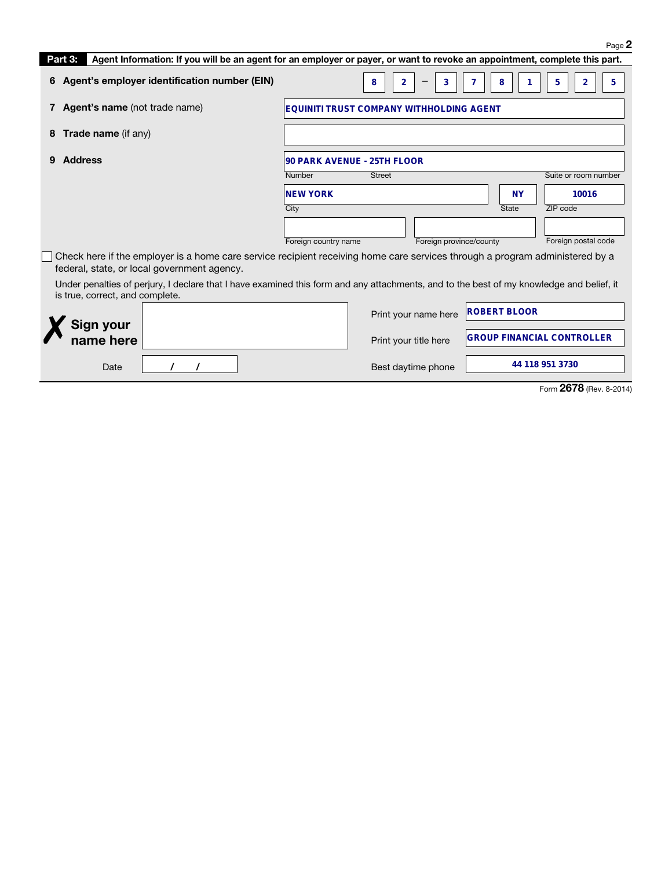|                                                                                                                                                                             |                                                                                                                            |                                                 |   |                     | Page 2                            |  |  |
|-----------------------------------------------------------------------------------------------------------------------------------------------------------------------------|----------------------------------------------------------------------------------------------------------------------------|-------------------------------------------------|---|---------------------|-----------------------------------|--|--|
| Part 3:                                                                                                                                                                     | Agent Information: If you will be an agent for an employer or payer, or want to revoke an appointment, complete this part. |                                                 |   |                     |                                   |  |  |
| Agent's employer identification number (EIN)<br>6                                                                                                                           |                                                                                                                            | $\overline{2}$<br>3<br>8                        | 7 | 8                   | 5<br>5<br>2                       |  |  |
| <b>Agent's name</b> (not trade name)                                                                                                                                        |                                                                                                                            | <b>EQUINITI TRUST COMPANY WITHHOLDING AGENT</b> |   |                     |                                   |  |  |
| Trade name (if any)<br>8                                                                                                                                                    |                                                                                                                            |                                                 |   |                     |                                   |  |  |
| <b>Address</b>                                                                                                                                                              |                                                                                                                            | 90 PARK AVENUE - 25TH FLOOR                     |   |                     |                                   |  |  |
|                                                                                                                                                                             | Number                                                                                                                     | Street                                          |   |                     | Suite or room number              |  |  |
|                                                                                                                                                                             | <b>NEW YORK</b>                                                                                                            |                                                 |   | <b>NY</b>           | 10016                             |  |  |
|                                                                                                                                                                             | City                                                                                                                       |                                                 |   | <b>State</b>        | ZIP code                          |  |  |
|                                                                                                                                                                             | Foreign country name                                                                                                       | Foreign province/county                         |   |                     | Foreign postal code               |  |  |
| Check here if the employer is a home care service recipient receiving home care services through a program administered by a<br>federal, state, or local government agency. |                                                                                                                            |                                                 |   |                     |                                   |  |  |
| Under penalties of perjury, I declare that I have examined this form and any attachments, and to the best of my knowledge and belief, it<br>is true, correct, and complete. |                                                                                                                            |                                                 |   |                     |                                   |  |  |
| Sign your                                                                                                                                                                   |                                                                                                                            | Print your name here                            |   | <b>ROBERT BLOOR</b> |                                   |  |  |
| name here                                                                                                                                                                   |                                                                                                                            | Print your title here                           |   |                     | <b>GROUP FINANCIAL CONTROLLER</b> |  |  |
| Date                                                                                                                                                                        |                                                                                                                            | Best daytime phone                              |   |                     | 44 118 951 3730                   |  |  |

Form **2678** (Rev. 8-2014)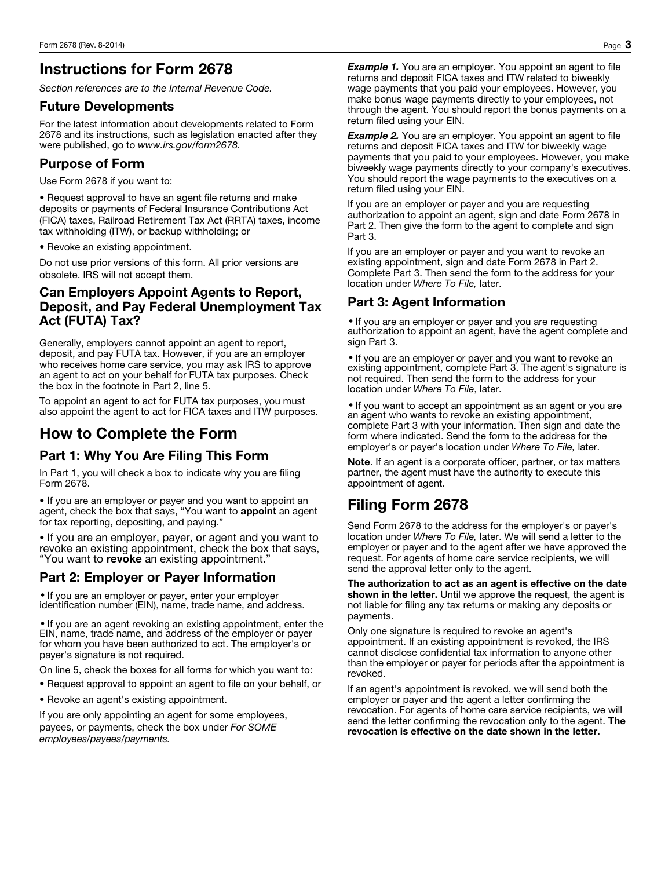### Instructions for Form 2678

*Section references are to the Internal Revenue Code.* 

#### Future Developments

For the latest information about developments related to Form 2678 and its instructions, such as legislation enacted after they were published, go to *www.irs.gov/form2678.*

#### Purpose of Form

Use Form 2678 if you want to:

• Request approval to have an agent file returns and make deposits or payments of Federal Insurance Contributions Act (FICA) taxes, Railroad Retirement Tax Act (RRTA) taxes, income tax withholding (ITW), or backup withholding; or

• Revoke an existing appointment.

Do not use prior versions of this form. All prior versions are obsolete. IRS will not accept them.

#### Can Employers Appoint Agents to Report, Deposit, and Pay Federal Unemployment Tax Act (FUTA) Tax?

Generally, employers cannot appoint an agent to report, deposit, and pay FUTA tax. However, if you are an employer who receives home care service, you may ask IRS to approve an agent to act on your behalf for FUTA tax purposes. Check the box in the footnote in Part 2, line 5.

To appoint an agent to act for FUTA tax purposes, you must also appoint the agent to act for FICA taxes and ITW purposes.

### How to Complete the Form

#### Part 1: Why You Are Filing This Form

In Part 1, you will check a box to indicate why you are filing Form 2678.

• If you are an employer or payer and you want to appoint an agent, check the box that says, "You want to appoint an agent for tax reporting, depositing, and paying."

• If you are an employer, payer, or agent and you want to revoke an existing appointment, check the box that says, "You want to revoke an existing appointment."

#### Part 2: Employer or Payer Information

• If you are an employer or payer, enter your employer identification number (EIN), name, trade name, and address.

• If you are an agent revoking an existing appointment, enter the EIN, name, trade name, and address of the employer or payer for whom you have been authorized to act. The employer's or payer's signature is not required.

On line 5, check the boxes for all forms for which you want to:

• Request approval to appoint an agent to file on your behalf, or

• Revoke an agent's existing appointment.

If you are only appointing an agent for some employees, payees, or payments, check the box under *For SOME employees/payees/payments.*

**Example 1.** You are an employer. You appoint an agent to file returns and deposit FICA taxes and ITW related to biweekly wage payments that you paid your employees. However, you make bonus wage payments directly to your employees, not through the agent. You should report the bonus payments on a return filed using your EIN.

*Example 2.* You are an employer. You appoint an agent to file returns and deposit FICA taxes and ITW for biweekly wage payments that you paid to your employees. However, you make biweekly wage payments directly to your company's executives. You should report the wage payments to the executives on a return filed using your EIN.

If you are an employer or payer and you are requesting authorization to appoint an agent, sign and date Form 2678 in Part 2. Then give the form to the agent to complete and sign Part 3.

If you are an employer or payer and you want to revoke an existing appointment, sign and date Form 2678 in Part 2. Complete Part 3. Then send the form to the address for your location under *Where To File,* later.

### Part 3: Agent Information

• If you are an employer or payer and you are requesting authorization to appoint an agent, have the agent complete and sign Part 3.

• If you are an employer or payer and you want to revoke an existing appointment, complete Part 3. The agent's signature is not required. Then send the form to the address for your location under *Where To File*, later.

• If you want to accept an appointment as an agent or you are an agent who wants to revoke an existing appointment, complete Part 3 with your information. Then sign and date the form where indicated. Send the form to the address for the employer's or payer's location under *Where To File,* later.

Note. If an agent is a corporate officer, partner, or tax matters partner, the agent must have the authority to execute this appointment of agent.

## Filing Form 2678

Send Form 2678 to the address for the employer's or payer's location under *Where To File,* later. We will send a letter to the employer or payer and to the agent after we have approved the request. For agents of home care service recipients, we will send the approval letter only to the agent.

The authorization to act as an agent is effective on the date shown in the letter. Until we approve the request, the agent is not liable for filing any tax returns or making any deposits or payments.

Only one signature is required to revoke an agent's appointment. If an existing appointment is revoked, the IRS cannot disclose confidential tax information to anyone other than the employer or payer for periods after the appointment is revoked.

If an agent's appointment is revoked, we will send both the employer or payer and the agent a letter confirming the revocation. For agents of home care service recipients, we will send the letter confirming the revocation only to the agent. The revocation is effective on the date shown in the letter.